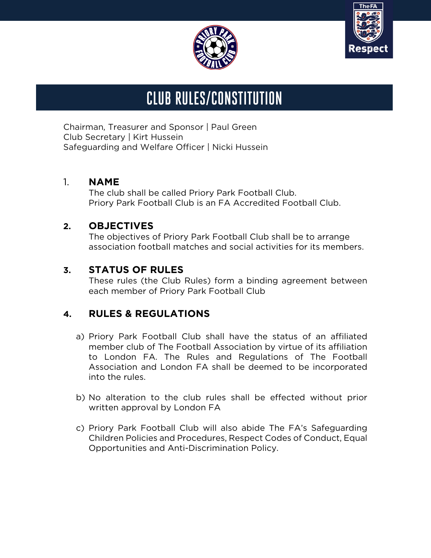



# CLUB RULES/CONSTITUTION

Chairman, Treasurer and Sponsor | Paul Green Club Secretary | Kirt Hussein Safeguarding and Welfare Officer | Nicki Hussein J,  $\overline{\mathcal{L}}$ 

#### 1. **NAME**

The club shall be called Priory Park Football Club. Priory Park Football Club is an FA Accredited Football Club.

#### **2. OBJECTIVES**

The objectives of Priory Park Football Club shall be to arrange association football matches and social activities for its members.

#### **3. STATUS OF RULES**

These rules (the Club Rules) form a binding agreement between each member of Priory Park Football Club

## **4. RULES & REGULATIONS**

- a) Priory Park Football Club shall have the status of an affiliated member club of The Football Association by virtue of its affiliation to London FA. The Rules and Regulations of The Football Association and London FA shall be deemed to be incorporated into the rules.
- b) No alteration to the club rules shall be effected without prior written approval by London FA
- c) Priory Park Football Club will also abide The FA's Safeguarding Children Policies and Procedures, Respect Codes of Conduct, Equal Opportunities and Anti-Discrimination Policy.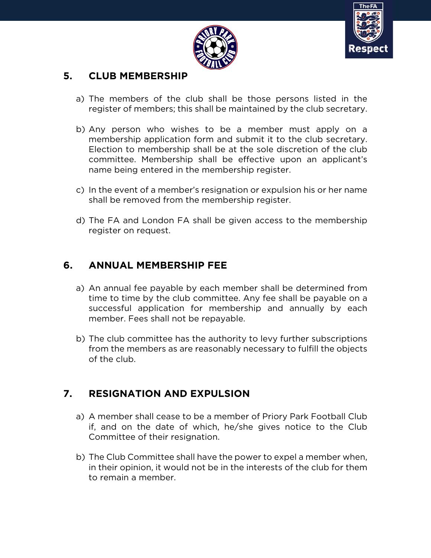



#### **5. CLUB MEMBERSHIP**

- a) The members of the club shall be those persons listed in the register of members; this shall be maintained by the club secretary.
- b) Any person who wishes to be a member must apply on a membership application form and submit it to the club secretary. Election to membership shall be at the sole discretion of the club committee. Membership shall be effective upon an applicant's name being entered in the membership register.
- c) In the event of a member's resignation or expulsion his or her name shall be removed from the membership register.
- d) The FA and London FA shall be given access to the membership register on request.

## **6. ANNUAL MEMBERSHIP FEE**

- a) An annual fee payable by each member shall be determined from time to time by the club committee. Any fee shall be payable on a successful application for membership and annually by each member. Fees shall not be repayable.
- b) The club committee has the authority to levy further subscriptions from the members as are reasonably necessary to fulfill the objects of the club.

# **7. RESIGNATION AND EXPULSION**

- a) A member shall cease to be a member of Priory Park Football Club if, and on the date of which, he/she gives notice to the Club Committee of their resignation.
- b) The Club Committee shall have the power to expel a member when, in their opinion, it would not be in the interests of the club for them to remain a member.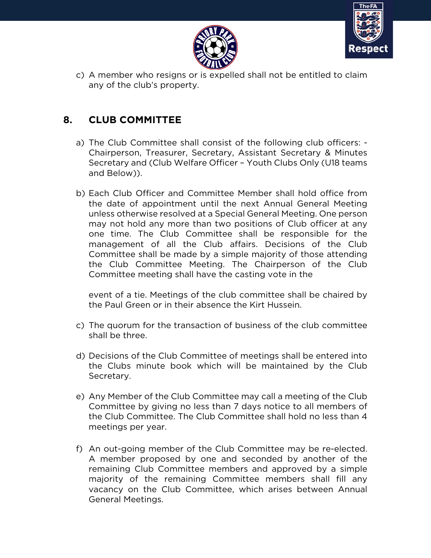



c) A member who resigns or is expelled shall not be entitled to claim any of the club's property.

## **8. CLUB COMMITTEE**

- a) The Club Committee shall consist of the following club officers: Chairperson, Treasurer, Secretary, Assistant Secretary & Minutes Secretary and (Club Welfare Officer – Youth Clubs Only (U18 teams and Below)).
- b) Each Club Officer and Committee Member shall hold office from the date of appointment until the next Annual General Meeting unless otherwise resolved at a Special General Meeting. One person may not hold any more than two positions of Club officer at any one time. The Club Committee shall be responsible for the management of all the Club affairs. Decisions of the Club Committee shall be made by a simple majority of those attending the Club Committee Meeting. The Chairperson of the Club Committee meeting shall have the casting vote in the

event of a tie. Meetings of the club committee shall be chaired by the Paul Green or in their absence the Kirt Hussein.

- c) The quorum for the transaction of business of the club committee shall be three.
- d) Decisions of the Club Committee of meetings shall be entered into the Clubs minute book which will be maintained by the Club Secretary.
- e) Any Member of the Club Committee may call a meeting of the Club Committee by giving no less than 7 days notice to all members of the Club Committee. The Club Committee shall hold no less than 4 meetings per year.
- f) An out-going member of the Club Committee may be re-elected. A member proposed by one and seconded by another of the remaining Club Committee members and approved by a simple majority of the remaining Committee members shall fill any vacancy on the Club Committee, which arises between Annual General Meetings.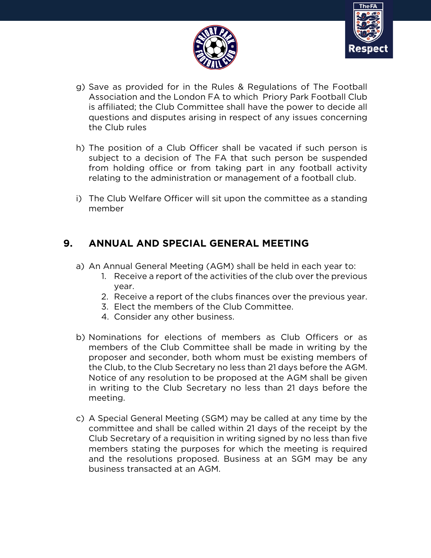



- g) Save as provided for in the Rules & Regulations of The Football Association and the London FA to which Priory Park Football Club is affiliated; the Club Committee shall have the power to decide all questions and disputes arising in respect of any issues concerning the Club rules
- h) The position of a Club Officer shall be vacated if such person is subject to a decision of The FA that such person be suspended from holding office or from taking part in any football activity relating to the administration or management of a football club.
- i) The Club Welfare Officer will sit upon the committee as a standing member

# **9. ANNUAL AND SPECIAL GENERAL MEETING**

- a) An Annual General Meeting (AGM) shall be held in each year to:
	- 1. Receive a report of the activities of the club over the previous year.
	- 2. Receive a report of the clubs finances over the previous year.
	- 3. Elect the members of the Club Committee.
	- 4. Consider any other business.
- b) Nominations for elections of members as Club Officers or as members of the Club Committee shall be made in writing by the proposer and seconder, both whom must be existing members of the Club, to the Club Secretary no less than 21 days before the AGM. Notice of any resolution to be proposed at the AGM shall be given in writing to the Club Secretary no less than 21 days before the meeting.
- c) A Special General Meeting (SGM) may be called at any time by the committee and shall be called within 21 days of the receipt by the Club Secretary of a requisition in writing signed by no less than five members stating the purposes for which the meeting is required and the resolutions proposed. Business at an SGM may be any business transacted at an AGM.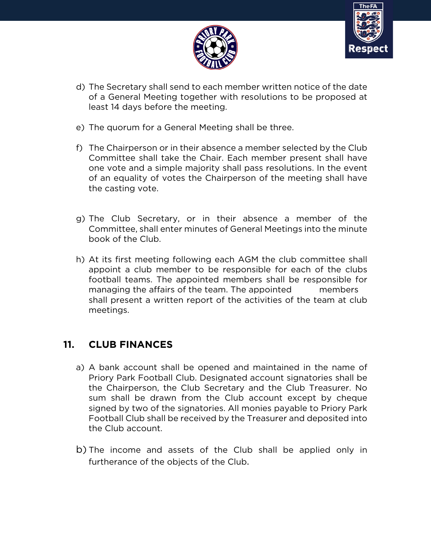



- d) The Secretary shall send to each member written notice of the date of a General Meeting together with resolutions to be proposed at least 14 days before the meeting.
- e) The quorum for a General Meeting shall be three.
- f) The Chairperson or in their absence a member selected by the Club Committee shall take the Chair. Each member present shall have one vote and a simple majority shall pass resolutions. In the event of an equality of votes the Chairperson of the meeting shall have the casting vote.
- g) The Club Secretary, or in their absence a member of the Committee, shall enter minutes of General Meetings into the minute book of the Club.
- h) At its first meeting following each AGM the club committee shall appoint a club member to be responsible for each of the clubs football teams. The appointed members shall be responsible for managing the affairs of the team. The appointed members shall present a written report of the activities of the team at club meetings.

#### **11. CLUB FINANCES**

- a) A bank account shall be opened and maintained in the name of Priory Park Football Club. Designated account signatories shall be the Chairperson, the Club Secretary and the Club Treasurer. No sum shall be drawn from the Club account except by cheque signed by two of the signatories. All monies payable to Priory Park Football Club shall be received by the Treasurer and deposited into the Club account.
- b) The income and assets of the Club shall be applied only in furtherance of the objects of the Club.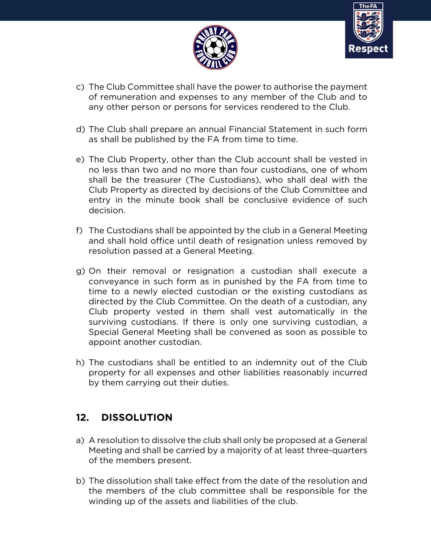



- c) The Club Committee shall have the power to authorise the payment of remuneration and expenses to any member of the Club and to any other person or persons for services rendered to the Club.
- d) The Club shall prepare an annual Financial Statement in such form as shall be published by the FA from time to time.
- e) The Club Property, other than the Club account shall be vested in no less than two and no more than four custodians, one of whom shall be the treasurer (The Custodians), who shall deal with the Club Property as directed by decisions of the Club Committee and entry in the minute book shall be conclusive evidence of such decision.
- f) The Custodians shall be appointed by the club in a General Meeting and shall hold office until death of resignation unless removed by resolution passed at a General Meeting.
- g) On their removal or resignation a custodian shall execute a conveyance in such form as in punished by the FA from time to time to a newly elected custodian or the existing custodians as directed by the Club Committee. On the death of a custodian, any Club property vested in them shall vest automatically in the surviving custodians. If there is only one surviving custodian, a Special General Meeting shall be convened as soon as possible to appoint another custodian.
- h) The custodians shall be entitled to an indemnity out of the Club property for all expenses and other liabilities reasonably incurred by them carrying out their duties.

# **12. DISSOLUTION**

- a) A resolution to dissolve the club shall only be proposed at a General Meeting and shall be carried by a majority of at least three-quarters of the members present.
- b) The dissolution shall take effect from the date of the resolution and the members of the club committee shall be responsible for the winding up of the assets and liabilities of the club.